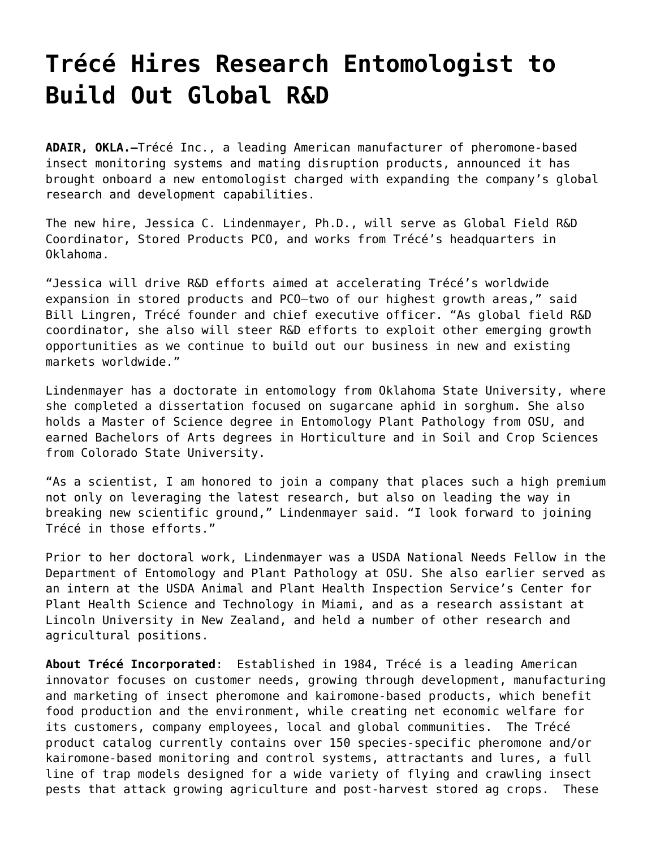## **[Trécé Hires Research Entomologist to](https://www.trece.com/press-releases/trece-hires-research-entomologist-to-build-out-global-rd/) [Build Out Global R&D](https://www.trece.com/press-releases/trece-hires-research-entomologist-to-build-out-global-rd/)**

**ADAIR, OKLA.—**[Trécé Inc.,](https://trece.com/about.html) a leading American manufacturer of pheromone-based insect monitoring systems and mating disruption products, announced it has brought onboard a new entomologist charged with expanding the company's global research and development capabilities.

The new hire, Jessica C. Lindenmayer, Ph.D., will serve as Global Field R&D Coordinator, Stored Products PCO, and works from Trécé's headquarters in Oklahoma.

"Jessica will drive R&D efforts aimed at accelerating Trécé's worldwide expansion in stored products and PCO—two of our highest growth areas," said Bill Lingren, Trécé founder and chief executive officer. "As global field R&D coordinator, she also will steer R&D efforts to exploit other emerging growth opportunities as we continue to build out our business in new and existing markets worldwide."

Lindenmayer has a doctorate in entomology from Oklahoma State University, where she completed a dissertation focused on sugarcane aphid in sorghum. She also holds a Master of Science degree in Entomology Plant Pathology from OSU, and earned Bachelors of Arts degrees in Horticulture and in Soil and Crop Sciences from Colorado State University.

"As a scientist, I am honored to join a company that places such a high premium not only on leveraging the latest research, but also on leading the way in breaking new scientific ground," Lindenmayer said. "I look forward to joining Trécé in those efforts."

Prior to her doctoral work, Lindenmayer was a USDA National Needs Fellow in the Department of Entomology and Plant Pathology at OSU. She also earlier served as an intern at the USDA Animal and Plant Health Inspection Service's Center for Plant Health Science and Technology in Miami, and as a research assistant at Lincoln University in New Zealand, and held a number of other research and agricultural positions.

**About Trécé Incorporated**: Established in 1984, [Trécé](http://www.Trece.com) is a leading American innovator focuses on customer needs, growing through development, manufacturing and marketing of insect pheromone and kairomone-based products, which benefit food production and the environment, while creating net economic welfare for its customers, company employees, local and global communities. The Trécé product catalog currently contains over 150 species-specific pheromone and/or kairomone-based monitoring and control systems, attractants and lures, a full line of trap models designed for a wide variety of flying and crawling insect pests that attack growing agriculture and post-harvest stored ag crops. These